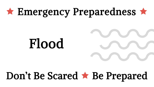# $\star$  Emergency Preparedness  $\star$

# Flood

# Don't Be Scared \* Be Prepared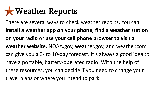### Weather Reports

There are several ways to check weather reports. You can **install a weather app on your phone, find a weather station on your radio** or **use your cell phone browser to visit a weather website.** NOAA.gov, weather.gov, and weather.com can give you a 3- to 10-day forecast. It's always a good idea to have a portable, battery-operated radio. With the help of these resources, you can decide if you need to change your travel plans or where you intend to park.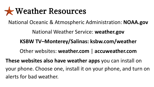#### Weather Resources

National Oceanic & Atmospheric Administration: **NOAA.gov**

National Weather Service: **weather.gov**

**KSBW TV–Monterey/Salinas: ksbw.com/weather**

Other websites: **weather.com** | **accuweather.com** 

**These websites also have weather apps** you can install on your phone. Choose one, install it on your phone, and turn on alerts for bad weather.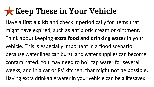#### **Keep These in Your Vehicle**

Have a **first aid kit** and check it periodically for items that might have expired, such as antibiotic cream or ointment. Think about keeping **extra food and drinking water** in your vehicle. This is especially important in a flood scenario because water lines can burst, and water supplies can become contaminated. You may need to boil tap water for several weeks, and in a car or RV kitchen, that might not be possible. Having extra drinkable water in your vehicle can be a lifesaver.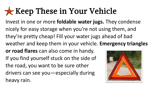## **Keep These in Your Vehicle**

Invest in one or more **foldable water jugs.** They condense nicely for easy storage when you're not using them, and they're pretty cheap! Fill your water jugs ahead of bad weather and keep them in your vehicle. **Emergency triangles** 

**or road flares** can also come in handy. If you find yourself stuck on the side of the road, you want to be sure other drivers can see you—especially during heavy rain.

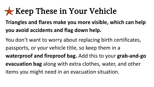#### **Keep These in Your Vehicle**

#### **Triangles and flares make you more visible, which can help you avoid accidents and flag down help.**

You don't want to worry about replacing birth certificates, passports, or your vehicle title, so keep them in a **waterproof and fireproof bag.** Add this to your **grab-and-go evacuation bag** along with extra clothes, water, and other items you might need in an evacuation situation.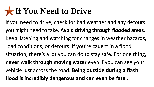#### If You Need to Drive

If you need to drive, check for bad weather and any detours you might need to take. **Avoid driving through flooded areas.**  Keep listening and watching for changes in weather hazards, road conditions, or detours. If you're caught in a flood situation, there's a lot you can do to stay safe. For one thing, **never walk through moving water** even if you can see your vehicle just across the road. **Being outside during a flash flood is incredibly dangerous and can even be fatal.**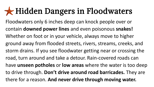#### Hidden Dangers in Floodwaters

Floodwaters only 6 inches deep can knock people over or contain **downed power lines** and even poisonous **snakes!** Whether on foot or in your vehicle, always move to higher ground away from flooded streets, rivers, streams, creeks, and storm drains. If you see floodwater getting near or crossing the road, turn around and take a detour. Rain-covered roads can have **unseen potholes** or **low areas** where the water is too deep to drive through. **Don't drive around road barricades.** They are there for a reason. **And never drive through moving water.**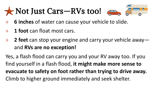## Not Just Cars—RVs too!



- » **6 inches** of water can cause your vehicle to slide.
- » **1 foot** can float most cars.
- » **2 feet** can stop your engine and carry your vehicle away and **RVs are no exception!**

Yes, a flash flood can carry you and your RV away too. If you find yourself in a flash flood, **it might make more sense to evacuate to safety on foot rather than trying to drive away.**  Climb to higher ground immediately and seek shelter.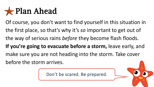#### **x** Plan Ahead

Of course, you don't want to find yourself in this situation in the first place, so that's why it's *so* important to get out of the way of serious rains *before* they become flash floods. **If you're going to evacuate before a storm,** leave early, and make sure you are not heading into the storm. Take cover before the storm arrives.

Don't be scared. Be prepared.

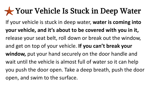#### Your Vehicle Is Stuck in Deep Water

If your vehicle is stuck in deep water, **water is coming into your vehicle, and it's about to be covered with you in it,**  release your seat belt, roll down or break out the window, and get on top of your vehicle. **If you can't break your window,** put your hand securely on the door handle and wait until the vehicle is almost full of water so it can help you push the door open. Take a deep breath, push the door open, and swim to the surface.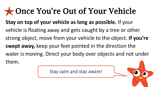#### Once You're Out of Your Vehicle

**Stay on top of your vehicle as long as possible.** If your vehicle is floating away and gets caught by a tree or other strong object, move from your vehicle to the object. **If you're swept away,** keep your feet pointed in the direction the water is moving. Direct your body over objects and not under them.

Stay calm and stay aware!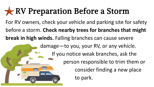#### RV Preparation Before a Storm

For RV owners, check your vehicle and parking site for safety before a storm. **Check nearby trees for branches that might break in high winds.** Falling branches can cause severe

damage—to you, your RV, or any vehicle.

If you notice weak branches, ask the

person responsible to trim them or consider finding a new place

to park.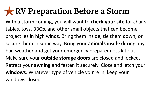#### RV Preparation Before a Storm

With a storm coming, you will want to **check your site** for chairs, tables, toys, BBQs, and other small objects that can become projectiles in high winds. Bring them inside, tie them down, or secure them in some way. Bring your **animals** inside during any bad weather and get your emergency preparedness kit out. Make sure your **outside storage doors** are closed and locked. Retract your **awning** and fasten it securely. Close and latch your **windows**. Whatever type of vehicle you're in, keep your windows closed.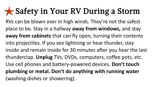#### Safety in Your RV During a Storm

RVs can be blown over in high winds. They're not the safest place to be. Stay in a hallway **away from windows,** and stay **away from cabinets** that can fly open, turning their contents into projectiles. If you see lightning or hear thunder, stay inside and remain inside for 30 minutes after you hear the last thunderclap. **Unplug** TVs, DVDs, computers, coffee pots, etc. Use cell phones and battery-powered devices. **Don't touch plumbing or metal. Don't do anything with running water**  (washing dishes or showering).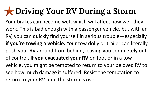## Driving Your RV During a Storm

Your brakes can become wet, which will affect how well they work. This is bad enough with a passenger vehicle, but with an RV, you can quickly find yourself in serious trouble—especially **if you're towing a vehicle.** Your tow dolly or trailer can literally push your RV around from behind, leaving you completely out of control. **If you evacuated your RV** on foot or in a tow vehicle, you might be tempted to return to your beloved RV to see how much damage it suffered. Resist the temptation to return to your RV until the storm is over.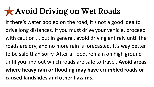#### Avoid Driving on Wet Roads

If there's water pooled on the road, it's not a good idea to drive long distances. If you must drive your vehicle, proceed with caution … but in general, avoid driving entirely until the roads are dry, and no more rain is forecasted. It's way better to be safe than sorry. After a flood, remain on high ground until you find out which roads are safe to travel. **Avoid areas where heavy rain or flooding may have crumbled roads or caused landslides and other hazards.**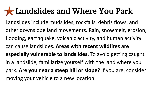#### Landslides and Where You Park

Landslides include mudslides, rockfalls, debris flows, and other downslope land movements. Rain, snowmelt, erosion, flooding, earthquake, volcanic activity, and human activity can cause landslides. **Areas with recent wildfires are especially vulnerable to landslides.** To avoid getting caught in a landslide, familiarize yourself with the land where you park. **Are you near a steep hill or slope?** If you are, consider moving your vehicle to a new location.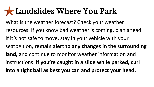#### Landslides Where You Park

What is the weather forecast? Check your weather resources. If you know bad weather is coming, plan ahead. If it's not safe to move, stay in your vehicle with your seatbelt on, **remain alert to any changes in the surrounding land,** and continue to monitor weather information and instructions. **If you're caught in a slide while parked, curl into a tight ball as best you can and protect your head.**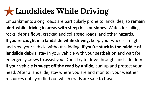#### Landslides While Driving

Embankments along roads are particularly prone to landslides, so **remain alert while driving in areas with steep hills or slopes.** Watch for falling rocks, debris flows, cracked and collapsed roads, and other hazards. **If you're caught in a landslide while driving,** keep your wheels straight and slow your vehicle without skidding. **If you're stuck in the middle of landslide debris,** stay in your vehicle with your seatbelt on and wait for emergency crews to assist you. Don't try to drive through landslide debris. If your vehicle is swept off the road by a slide, curl up and protect your head. After a landslide, stay where you are and monitor your weather resources until you find out which roads are safe to travel.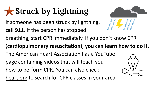## Struck by Lightning

- If someone has been struck by lightning,
- **call 911.** If the person has stopped



- breathing, start CPR immediately. If you don't know CPR
- (**cardiopulmonary resuscitation**), **you can learn how to do it.**
- The American Heart Association has a YouTube
- page containing videos that will teach you
- how to perform CPR. You can also check
- heart.org to search for CPR classes in your area.

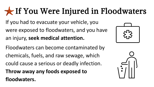## If You Were Injured in Floodwaters

If you had to evacuate your vehicle, you were exposed to floodwaters, and you have an injury, **seek medical attention.**

Floodwaters can become contaminated by chemicals, fuels, and raw sewage, which could cause a serious or deadly infection. **Throw away any foods exposed to floodwaters.**



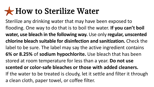#### How to Sterilize Water

Sterilize any drinking water that may have been exposed to flooding. One way to do that is to boil the water. **If you can't boil water, use bleach in the following way.** Use only **regular, unscented chlorine bleach suitable for disinfection and sanitization.** Check the label to be sure. The label may say the active ingredient contains **6% or 8.25%** of **sodium hypochlorite.** Use bleach that has been stored at room temperature for less than a year. **Do not use scented or color-safe bleaches or those with added cleaners.** If the water to be treated is cloudy, let it settle and filter it through a clean cloth, paper towel, or coffee filter.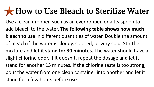#### How to Use Bleach to Sterilize Water

Use a clean dropper, such as an eyedropper, or a teaspoon to add bleach to the water. **The following table shows how much bleach to use** in different quantities of water. Double the amount of bleach if the water is cloudy, colored, or very cold. Stir the mixture and **let it stand for 30 minutes.** The water should have a slight chlorine odor. If it doesn't, repeat the dosage and let it stand for another 15 minutes. If the chlorine taste is too strong, pour the water from one clean container into another and let it stand for a few hours before use.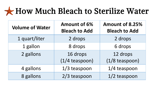#### How Much Bleach to Sterilize Water

| <b>Volume of Water</b> | <b>Amount of 6%</b><br><b>Bleach to Add</b> | <b>Amount of 8.25%</b><br><b>Bleach to Add</b> |
|------------------------|---------------------------------------------|------------------------------------------------|
| 1 quart/liter          | 2 drops                                     | 2 drops                                        |
| 1 gallon               | 8 drops                                     | 6 drops                                        |
| 2 gallons              | 16 drops<br>$(1/4$ teaspoon)                | 12 drops<br>$(1/8)$ teaspoon)                  |
| 4 gallons              | $1/3$ teaspoon                              | 1/4 teaspoon                                   |
| 8 gallons              | 2/3 teaspoon                                | 1/2 teaspoon                                   |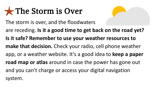#### **x** The Storm is Over



The storm is over, and the floodwaters

are receding. **Is it a good time to get back on the road yet? Is it safe? Remember to use your weather resources to make that decision.** Check your radio, cell phone weather app, or a weather website. It's a good idea to **keep a paper road map or atlas** around in case the power has gone out and you can't charge or access your digital navigation system.